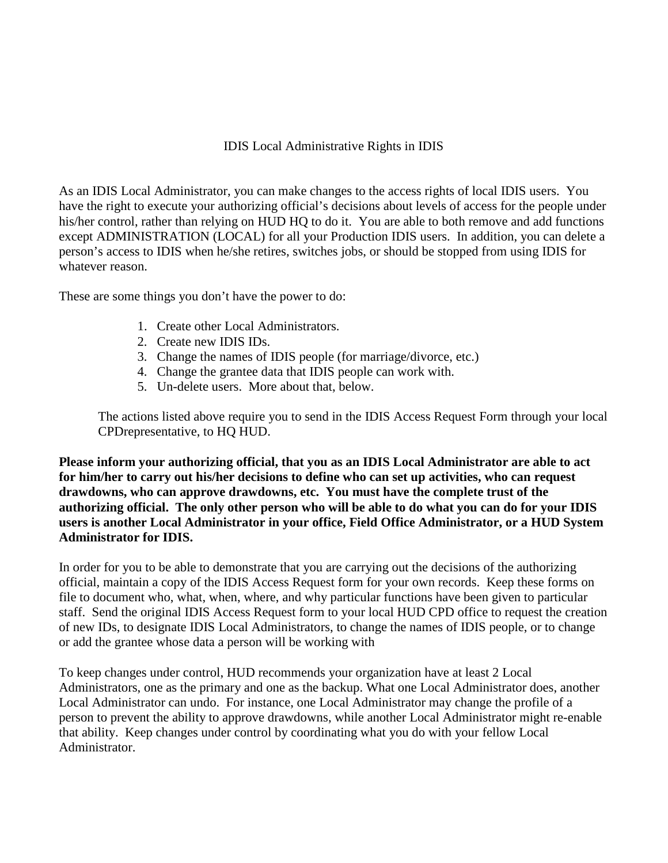# IDIS Local Administrative Rights in IDIS

As an IDIS Local Administrator, you can make changes to the access rights of local IDIS users. You have the right to execute your authorizing official's decisions about levels of access for the people under his/her control, rather than relying on HUD HQ to do it. You are able to both remove and add functions except ADMINISTRATION (LOCAL) for all your Production IDIS users. In addition, you can delete a person's access to IDIS when he/she retires, switches jobs, or should be stopped from using IDIS for whatever reason.

These are some things you don't have the power to do:

- 1. Create other Local Administrators.
- 2. Create new IDIS IDs.
- 3. Change the names of IDIS people (for marriage/divorce, etc.)
- 4. Change the grantee data that IDIS people can work with.
- 5. Un-delete users. More about that, below.

The actions listed above require you to send in the IDIS Access Request Form through your local CPDrepresentative, to HQ HUD.

**Please inform your authorizing official, that you as an IDIS Local Administrator are able to act for him/her to carry out his/her decisions to define who can set up activities, who can request drawdowns, who can approve drawdowns, etc. You must have the complete trust of the authorizing official. The only other person who will be able to do what you can do for your IDIS users is another Local Administrator in your office, Field Office Administrator, or a HUD System Administrator for IDIS.** 

In order for you to be able to demonstrate that you are carrying out the decisions of the authorizing official, maintain a copy of the IDIS Access Request form for your own records. Keep these forms on file to document who, what, when, where, and why particular functions have been given to particular staff. Send the original IDIS Access Request form to your local HUD CPD office to request the creation of new IDs, to designate IDIS Local Administrators, to change the names of IDIS people, or to change or add the grantee whose data a person will be working with

To keep changes under control, HUD recommends your organization have at least 2 Local Administrators, one as the primary and one as the backup. What one Local Administrator does, another Local Administrator can undo. For instance, one Local Administrator may change the profile of a person to prevent the ability to approve drawdowns, while another Local Administrator might re-enable that ability. Keep changes under control by coordinating what you do with your fellow Local Administrator.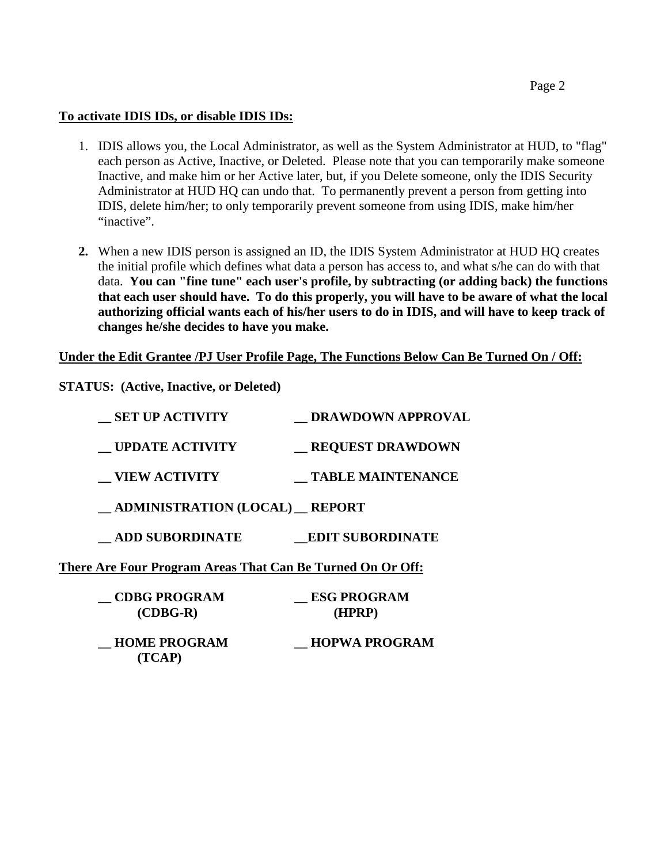### **To activate IDIS IDs, or disable IDIS IDs:**

- 1. IDIS allows you, the Local Administrator, as well as the System Administrator at HUD, to "flag" each person as Active, Inactive, or Deleted. Please note that you can temporarily make someone Inactive, and make him or her Active later, but, if you Delete someone, only the IDIS Security Administrator at HUD HQ can undo that. To permanently prevent a person from getting into IDIS, delete him/her; to only temporarily prevent someone from using IDIS, make him/her "inactive".
- **2.** When a new IDIS person is assigned an ID, the IDIS System Administrator at HUD HQ creates the initial profile which defines what data a person has access to, and what s/he can do with that data. **You can "fine tune" each user's profile, by subtracting (or adding back) the functions that each user should have. To do this properly, you will have to be aware of what the local authorizing official wants each of his/her users to do in IDIS, and will have to keep track of changes he/she decides to have you make.**

# **Under the Edit Grantee /PJ User Profile Page, The Functions Below Can Be Turned On / Off:**

**STATUS: (Active, Inactive, or Deleted)**

 **(TCAP)**

| <b>SET UP ACTIVITY</b>                                     | DRAWDOWN APPROVAL            |
|------------------------------------------------------------|------------------------------|
| <b>UPDATE ACTIVITY</b>                                     | <b>REQUEST DRAWDOWN</b>      |
| <b>VIEW ACTIVITY</b>                                       | <b>TABLE MAINTENANCE</b>     |
| __ ADMINISTRATION (LOCAL) __ REPORT                        |                              |
| <b>ADD SUBORDINATE</b>                                     | <b>EDIT SUBORDINATE</b>      |
| There Are Four Program Areas That Can Be Turned On Or Off: |                              |
| <b>CDBG PROGRAM</b><br>$(CDBG-R)$                          | <b>ESG PROGRAM</b><br>(HPRP) |
| <b>HOME PROGRAM</b>                                        | <b>HOPWA PROGRAM</b>         |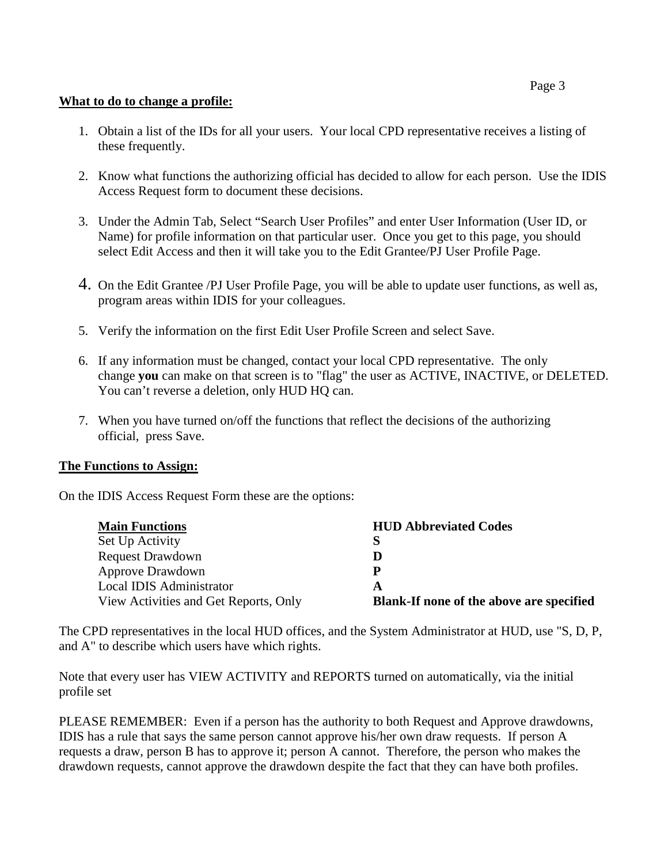#### **What to do to change a profile:**

- 1. Obtain a list of the IDs for all your users. Your local CPD representative receives a listing of these frequently.
- 2. Know what functions the authorizing official has decided to allow for each person. Use the IDIS Access Request form to document these decisions.
- 3. Under the Admin Tab, Select "Search User Profiles" and enter User Information (User ID, or Name) for profile information on that particular user. Once you get to this page, you should select Edit Access and then it will take you to the Edit Grantee/PJ User Profile Page.
- 4. On the Edit Grantee /PJ User Profile Page, you will be able to update user functions, as well as, program areas within IDIS for your colleagues.
- 5. Verify the information on the first Edit User Profile Screen and select Save.
- 6. If any information must be changed, contact your local CPD representative. The only change **you** can make on that screen is to "flag" the user as ACTIVE, INACTIVE, or DELETED. You can't reverse a deletion, only HUD HO can.
- 7. When you have turned on/off the functions that reflect the decisions of the authorizing official, press Save.

#### **The Functions to Assign:**

On the IDIS Access Request Form these are the options:

| <b>Main Functions</b>                 | <b>HUD Abbreviated Codes</b>             |
|---------------------------------------|------------------------------------------|
| Set Up Activity                       | S                                        |
| <b>Request Drawdown</b>               | D                                        |
| <b>Approve Drawdown</b>               | P                                        |
| Local IDIS Administrator              | A                                        |
| View Activities and Get Reports, Only | Blank-If none of the above are specified |

The CPD representatives in the local HUD offices, and the System Administrator at HUD, use "S, D, P, and A" to describe which users have which rights.

Note that every user has VIEW ACTIVITY and REPORTS turned on automatically, via the initial profile set

PLEASE REMEMBER: Even if a person has the authority to both Request and Approve drawdowns, IDIS has a rule that says the same person cannot approve his/her own draw requests. If person A requests a draw, person B has to approve it; person A cannot. Therefore, the person who makes the drawdown requests, cannot approve the drawdown despite the fact that they can have both profiles.